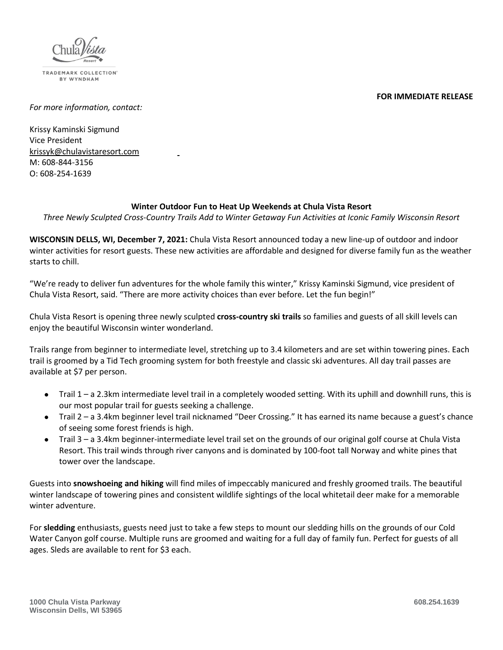



TRADEMARK COLLECTION BY WYNDHAM

*For more information, contact:* 

Krissy Kaminski Sigmund Vice President [krissyk@chulavistaresort.com](mailto:krissyk@chulavistaresort.com) M: 608-844-3156 O: 608-254-1639

## **Winter Outdoor Fun to Heat Up Weekends at Chula Vista Resort**

*Three Newly Sculpted Cross-Country Trails Add to Winter Getaway Fun Activities at Iconic Family Wisconsin Resort*

**WISCONSIN DELLS, WI, December 7, 2021:** Chula Vista Resort announced today a new line-up of outdoor and indoor winter activities for resort guests. These new activities are affordable and designed for diverse family fun as the weather starts to chill.

"We're ready to deliver fun adventures for the whole family this winter," Krissy Kaminski Sigmund, vice president of Chula Vista Resort, said. "There are more activity choices than ever before. Let the fun begin!"

Chula Vista Resort is opening three newly sculpted **cross-country ski trails** so families and guests of all skill levels can enjoy the beautiful Wisconsin winter wonderland.

Trails range from beginner to intermediate level, stretching up to 3.4 kilometers and are set within towering pines. Each trail is groomed by a Tid Tech grooming system for both freestyle and classic ski adventures. All day trail passes are available at \$7 per person.

- Trail 1 a 2.3km intermediate level trail in a completely wooded setting. With its uphill and downhill runs, this is our most popular trail for guests seeking a challenge.
- Trail 2 a 3.4km beginner level trail nicknamed "Deer Crossing." It has earned its name because a guest's chance of seeing some forest friends is high.
- Trail 3 a 3.4km beginner-intermediate level trail set on the grounds of our original golf course at Chula Vista Resort. This trail winds through river canyons and is dominated by 100-foot tall Norway and white pines that tower over the landscape.

Guests into **snowshoeing and hiking** will find miles of impeccably manicured and freshly groomed trails. The beautiful winter landscape of towering pines and consistent wildlife sightings of the local whitetail deer make for a memorable winter adventure.

For **sledding** enthusiasts, guests need just to take a few steps to mount our sledding hills on the grounds of our Cold Water Canyon golf course. Multiple runs are groomed and waiting for a full day of family fun. Perfect for guests of all ages. Sleds are available to rent for \$3 each.